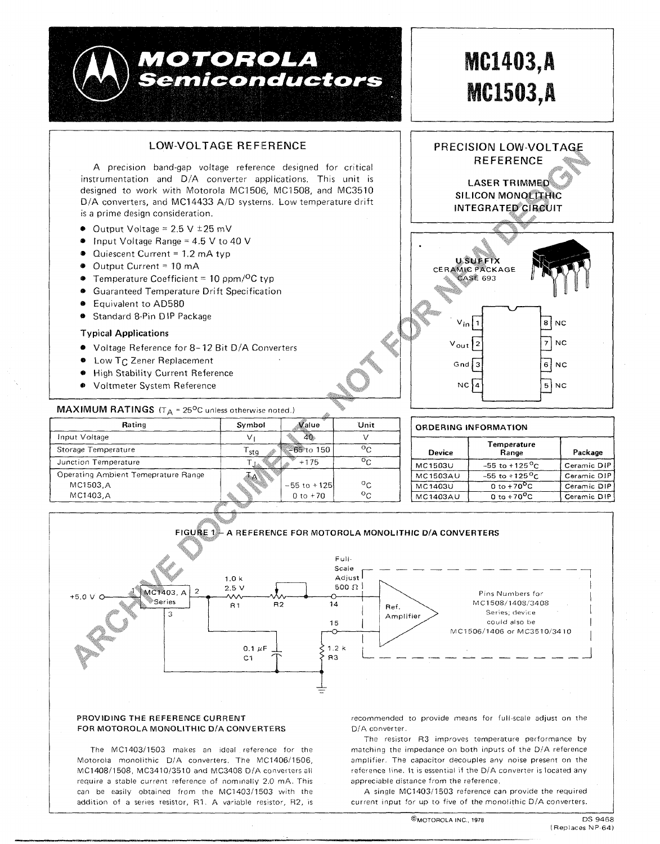



## PROVIDING THE REFERENCE CURRENT FOR MOTOROLA MONOLITHIC D/A CONVERTERS

The MC1403/1503 makes an ideal reference for the Motorola monolithic D/A converters. The MC1406/1506, MC1408/1508, MC3410/3510 and MC3408 D/A converters all require a stable current reference of nominally 2.0 mA. This can be easily obtained from the MC1403/1503 with the addition of a series resistor, R1. A variable resistor, R2, is recommended to provide means for full-scale adjust on the D/A converter.

The resistor R3 improves temperature performance by matching the impedance on both inputs of the D/A reference amplifier. The capacitor decouples any noise present on the reference line. It is essential if the D/A converter is located any annreciable distance from the reference

A single MC1403/1503 reference can provide the required current input for up to five of the monolithic D/A converters.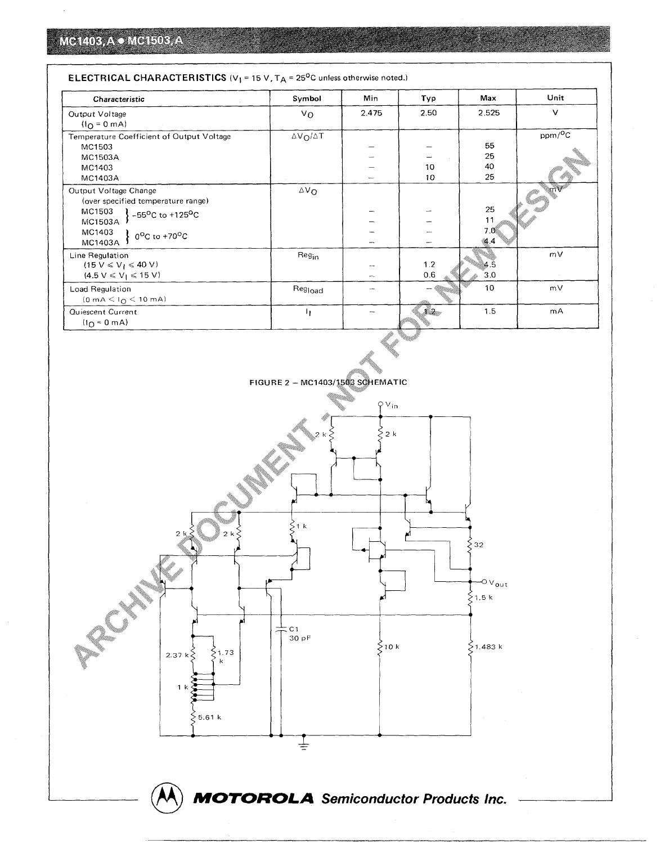| Characteristic                                                                                                                                                            | Symbol                  | Min   | Typ        | Max                    | Unit        |
|---------------------------------------------------------------------------------------------------------------------------------------------------------------------------|-------------------------|-------|------------|------------------------|-------------|
| Output Voltage<br>$(IO = 0 mA)$                                                                                                                                           | Vo                      | 2.475 | 2.50       | 2.525                  | $\vee$      |
| Temperature Coefficient of Output Voltage<br>MC1503<br>MC1503A<br>MC1403                                                                                                  | $\Delta V_O / \Delta T$ |       | 10         | 55<br>25<br>40         | $ppm/^{0}C$ |
| MC1403A                                                                                                                                                                   |                         |       | 10         | 25                     |             |
| Output Voltage Change<br>(over specified temperature range)<br>MC1503<br>$-55^{\circ}$ C to +125 <sup>o</sup> C<br>MC1503A<br>MC1403<br>$0^{\circ}$ C to +70°C<br>MC1403A | $\Delta V_{\Omega}$     |       |            | 25<br>11<br>7.0<br>4.4 | mV          |
| Line Regulation<br>$(15 V \le V_1 \le 40 V)$<br>$(4.5 V \le V_1 \le 15 V)$                                                                                                | Reg <sub>in</sub>       | ÷     | 1.2<br>0.6 | 4.5<br>3.0             | mV          |
| Load Regulation<br>$(0 \text{ mA} < I_{\Omega} < 10 \text{ mA})$                                                                                                          | Reg <sub>ioad</sub>     |       |            | 10                     | mV          |
| Quiescent Current<br>$(10 = 0 mA)$                                                                                                                                        | h.                      |       | ti demo    | 1.5                    | mA          |

## **ELECTRICAL CHARACTERISTICS** ( $V_1$  = 15 V,  $T_A$  = 25<sup>0</sup>C unless otherwise noted.)



**FIGURE 2 - MC1403/1503 SCHEMATIC** 

e<br>Maria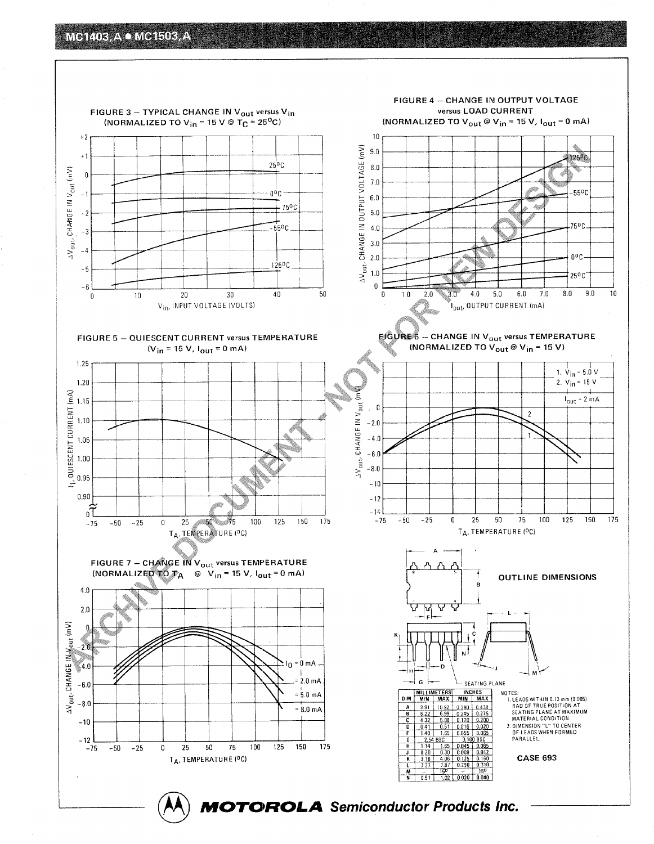